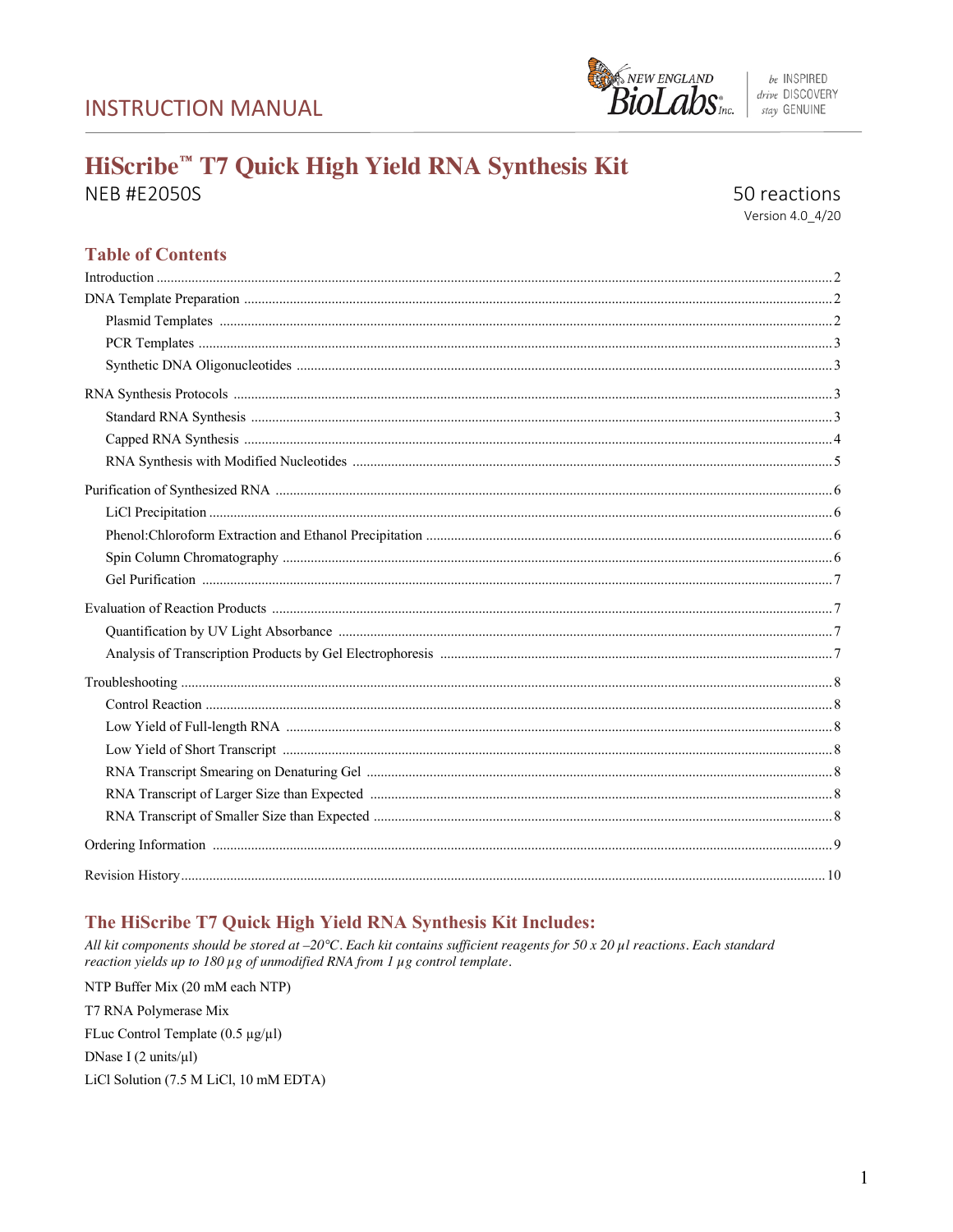

be INSPIRED drive DISCOVERY stay GENUINE

# HiScribe<sup>™</sup> T7 Quick High Yield RNA Synthesis Kit **NEB #E2050S**

50 reactions Version 4.0\_4/20

## **Table of Contents**

## The HiScribe T7 Quick High Yield RNA Synthesis Kit Includes:

All kit components should be stored at  $-20^{\circ}$ C. Each kit contains sufficient reagents for 50 x 20  $\mu$ l reactions. Each standard reaction yields up to  $180 \mu g$  of unmodified RNA from  $1 \mu g$  control template.

NTP Buffer Mix (20 mM each NTP) T7 RNA Polymerase Mix FLuc Control Template (0.5 μg/μl) DNase I  $(2 \text{ units/}\mu l)$ LiCl Solution (7.5 M LiCl, 10 mM EDTA)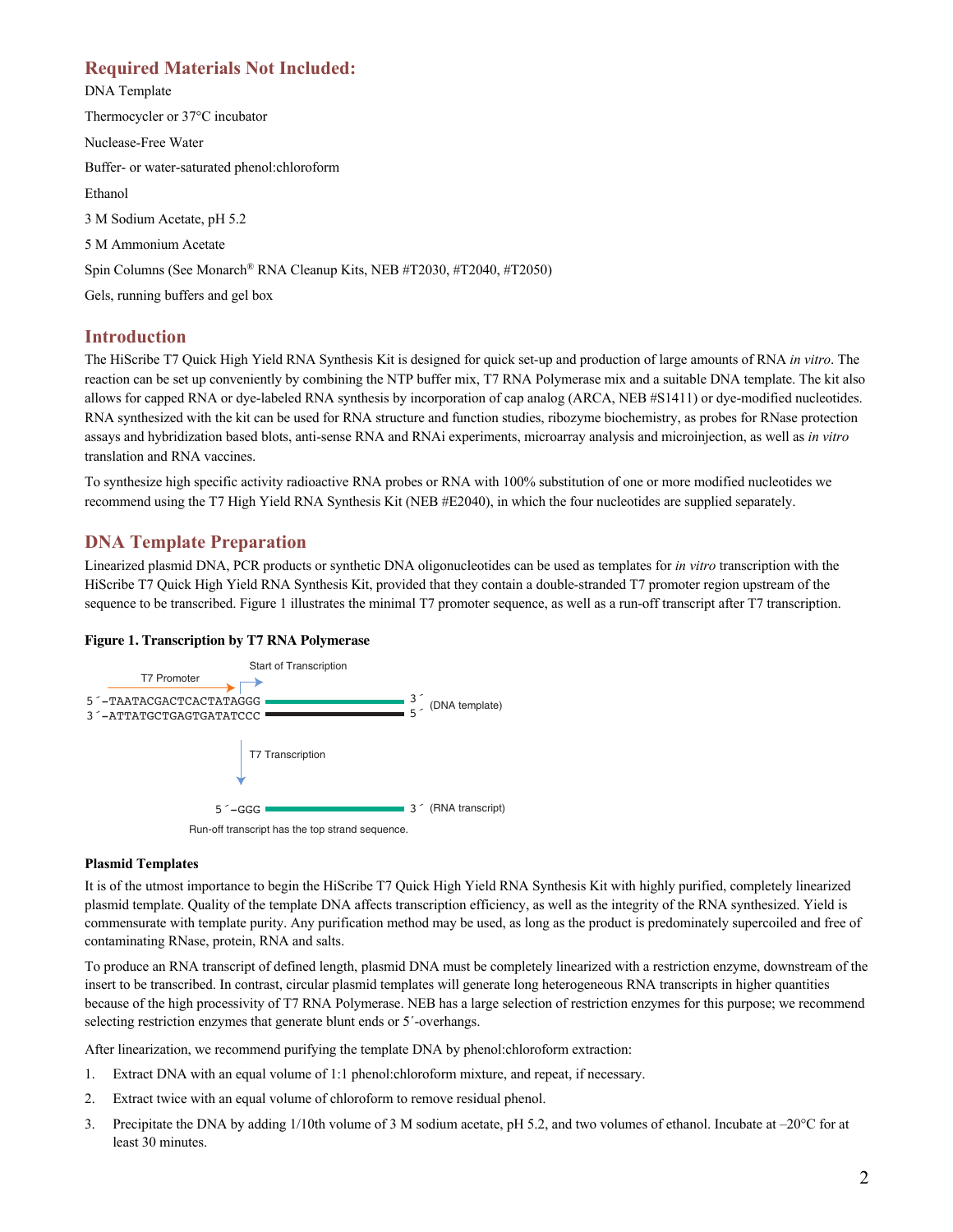## **Required Materials Not Included:**

DNA Template Thermocycler or 37°C incubator Nuclease-Free Water Buffer- or water-saturated phenol:chloroform Ethanol 3 M Sodium Acetate, pH 5.2 5 M Ammonium Acetate Spin Columns (See Monarch® RNA Cleanup Kits, NEB #T2030, #T2040, #T2050) Gels, running buffers and gel box

## **Introduction**

The HiScribe T7 Quick High Yield RNA Synthesis Kit is designed for quick set-up and production of large amounts of RNA *in vitro*. The reaction can be set up conveniently by combining the NTP buffer mix, T7 RNA Polymerase mix and a suitable DNA template. The kit also allows for capped RNA or dye-labeled RNA synthesis by incorporation of cap analog (ARCA, NEB #S1411) or dye-modified nucleotides. RNA synthesized with the kit can be used for RNA structure and function studies, ribozyme biochemistry, as probes for RNase protection assays and hybridization based blots, anti-sense RNA and RNAi experiments, microarray analysis and microinjection, as well as *in vitro* translation and RNA vaccines.

To synthesize high specific activity radioactive RNA probes or RNA with 100% substitution of one or more modified nucleotides we recommend using the T7 High Yield RNA Synthesis Kit (NEB #E2040), in which the four nucleotides are supplied separately.

## **DNA Template Preparation**

Linearized plasmid DNA, PCR products or synthetic DNA oligonucleotides can be used as templates for *in vitro* transcription with the HiScribe T7 Quick High Yield RNA Synthesis Kit, provided that they contain a double-stranded T7 promoter region upstream of the sequence to be transcribed. Figure 1 illustrates the minimal T7 promoter sequence, as well as a run-off transcript after T7 transcription.

#### **Figure 1. Transcription by T7 RNA Polymerase**



#### **Plasmid Templates**

It is of the utmost importance to begin the HiScribe T7 Quick High Yield RNA Synthesis Kit with highly purified, completely linearized plasmid template. Quality of the template DNA affects transcription efficiency, as well as the integrity of the RNA synthesized. Yield is commensurate with template purity. Any purification method may be used, as long as the product is predominately supercoiled and free of contaminating RNase, protein, RNA and salts.

To produce an RNA transcript of defined length, plasmid DNA must be completely linearized with a restriction enzyme, downstream of the insert to be transcribed. In contrast, circular plasmid templates will generate long heterogeneous RNA transcripts in higher quantities because of the high processivity of T7 RNA Polymerase. NEB has a large selection of restriction enzymes for this purpose; we recommend selecting restriction enzymes that generate blunt ends or 5´-overhangs.

After linearization, we recommend purifying the template DNA by phenol:chloroform extraction:

- 1. Extract DNA with an equal volume of 1:1 phenol:chloroform mixture, and repeat, if necessary.
- 2. Extract twice with an equal volume of chloroform to remove residual phenol.
- 3. Precipitate the DNA by adding 1/10th volume of 3 M sodium acetate, pH 5.2, and two volumes of ethanol. Incubate at –20°C for at least 30 minutes.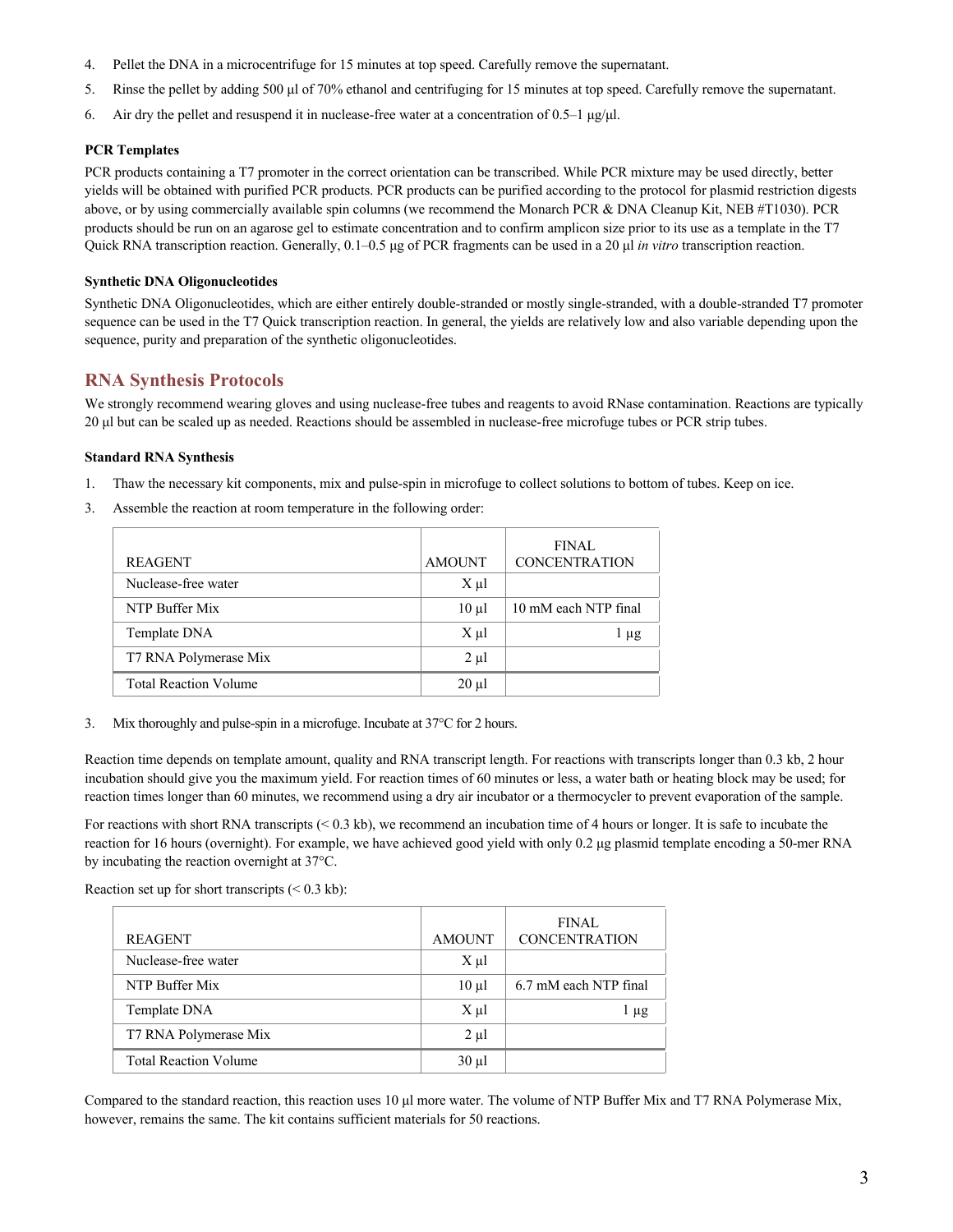- 4. Pellet the DNA in a microcentrifuge for 15 minutes at top speed. Carefully remove the supernatant.
- 5. Rinse the pellet by adding 500 μl of 70% ethanol and centrifuging for 15 minutes at top speed. Carefully remove the supernatant.
- 6. Air dry the pellet and resuspend it in nuclease-free water at a concentration of 0.5–1 μg/μl.

#### **PCR Templates**

PCR products containing a T7 promoter in the correct orientation can be transcribed. While PCR mixture may be used directly, better yields will be obtained with purified PCR products. PCR products can be purified according to the protocol for plasmid restriction digests above, or by using commercially available spin columns (we recommend the Monarch PCR & DNA Cleanup Kit, NEB #T1030). PCR products should be run on an agarose gel to estimate concentration and to confirm amplicon size prior to its use as a template in the T7 Quick RNA transcription reaction. Generally, 0.1–0.5 μg of PCR fragments can be used in a 20 μl *in vitro* transcription reaction.

#### **Synthetic DNA Oligonucleotides**

Synthetic DNA Oligonucleotides, which are either entirely double-stranded or mostly single-stranded, with a double-stranded T7 promoter sequence can be used in the T7 Quick transcription reaction. In general, the yields are relatively low and also variable depending upon the sequence, purity and preparation of the synthetic oligonucleotides.

## **RNA Synthesis Protocols**

We strongly recommend wearing gloves and using nuclease-free tubes and reagents to avoid RNase contamination. Reactions are typically 20 μl but can be scaled up as needed. Reactions should be assembled in nuclease-free microfuge tubes or PCR strip tubes.

#### **Standard RNA Synthesis**

- 1. Thaw the necessary kit components, mix and pulse-spin in microfuge to collect solutions to bottom of tubes. Keep on ice.
- 3. Assemble the reaction at room temperature in the following order:

| <b>REAGENT</b>               | <b>AMOUNT</b> | <b>FINAL</b><br><b>CONCENTRATION</b> |
|------------------------------|---------------|--------------------------------------|
| Nuclease-free water          | $X \mu l$     |                                      |
| NTP Buffer Mix               | $10 \mu$      | 10 mM each NTP final                 |
| Template DNA                 | $X \mu l$     | $\mu$ g                              |
| T7 RNA Polymerase Mix        | $2 \mu l$     |                                      |
| <b>Total Reaction Volume</b> | $20 \mu l$    |                                      |

3. Mix thoroughly and pulse-spin in a microfuge. Incubate at 37°C for 2 hours.

Reaction time depends on template amount, quality and RNA transcript length. For reactions with transcripts longer than 0.3 kb, 2 hour incubation should give you the maximum yield. For reaction times of 60 minutes or less, a water bath or heating block may be used; for reaction times longer than 60 minutes, we recommend using a dry air incubator or a thermocycler to prevent evaporation of the sample.

For reactions with short RNA transcripts (< 0.3 kb), we recommend an incubation time of 4 hours or longer. It is safe to incubate the reaction for 16 hours (overnight). For example, we have achieved good yield with only 0.2 μg plasmid template encoding a 50-mer RNA by incubating the reaction overnight at 37°C.

Reaction set up for short transcripts  $(< 0.3$  kb):

| <b>REAGENT</b>               | <b>AMOUNT</b> | <b>FINAL</b><br><b>CONCENTRATION</b> |
|------------------------------|---------------|--------------------------------------|
| Nuclease-free water          | $X \mu l$     |                                      |
| NTP Buffer Mix               | $10 \mu l$    | 6.7 mM each NTP final                |
| Template DNA                 | $X \mu l$     | l µg                                 |
| T7 RNA Polymerase Mix        | $2 \mu l$     |                                      |
| <b>Total Reaction Volume</b> | $30 \mu l$    |                                      |

Compared to the standard reaction, this reaction uses 10 μl more water. The volume of NTP Buffer Mix and T7 RNA Polymerase Mix, however, remains the same. The kit contains sufficient materials for 50 reactions.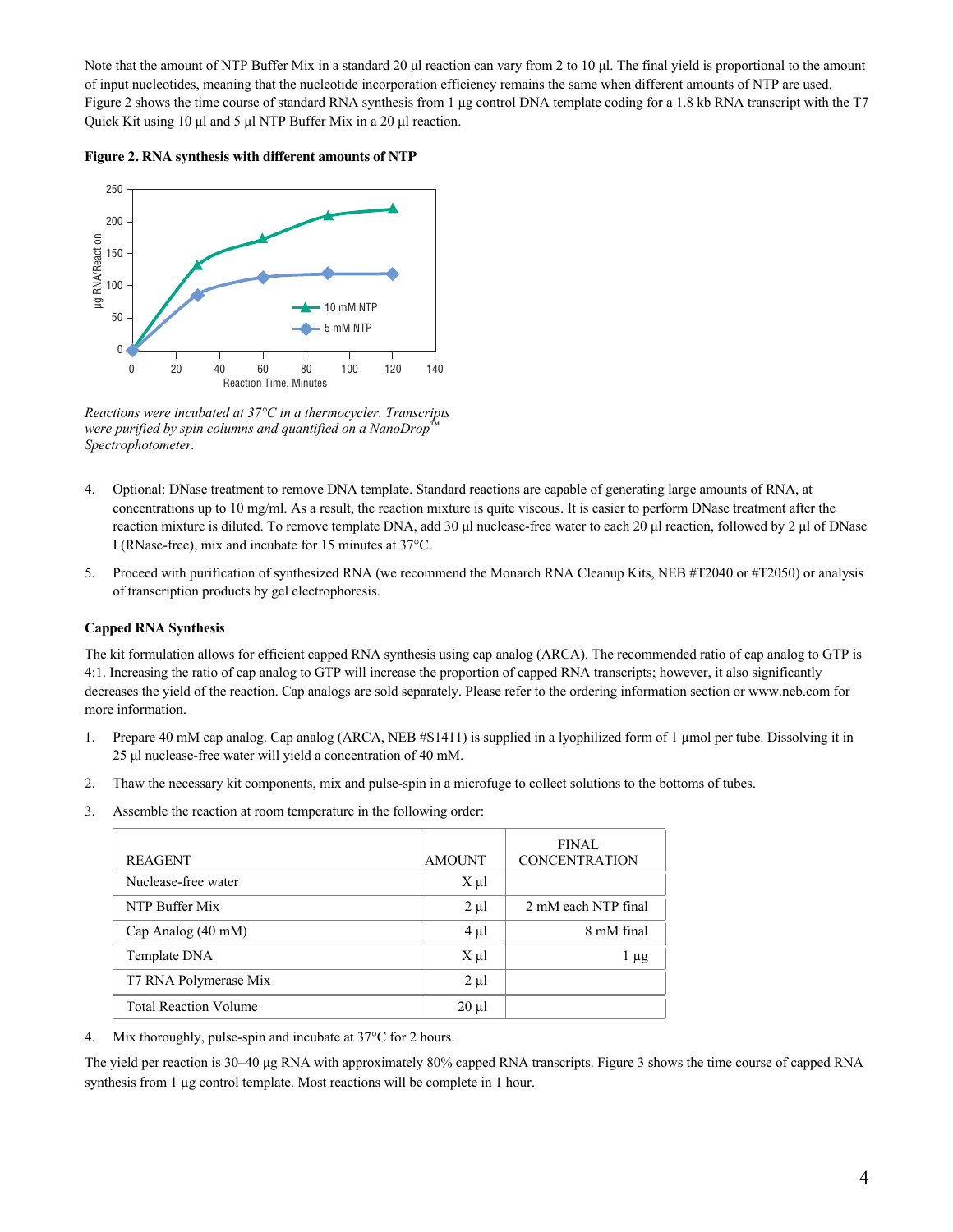Note that the amount of NTP Buffer Mix in a standard 20 μl reaction can vary from 2 to 10 μl. The final yield is proportional to the amount of input nucleotides, meaning that the nucleotide incorporation efficiency remains the same when different amounts of NTP are used. Figure 2 shows the time course of standard RNA synthesis from 1 μg control DNA template coding for a 1.8 kb RNA transcript with the T7 Quick Kit using 10 μl and 5 μl NTP Buffer Mix in a 20 μl reaction.





*Reactions were incubated at 37°C in a thermocycler. Transcripts were purified by spin columns and quantified on a NanoDrop*<sup>™</sup> *Spectrophotometer.*

- 4. Optional: DNase treatment to remove DNA template. Standard reactions are capable of generating large amounts of RNA, at concentrations up to 10 mg/ml. As a result, the reaction mixture is quite viscous. It is easier to perform DNase treatment after the reaction mixture is diluted. To remove template DNA, add 30 μl nuclease-free water to each 20 μl reaction, followed by 2 μl of DNase I (RNase-free), mix and incubate for 15 minutes at 37°C.
- 5. Proceed with purification of synthesized RNA (we recommend the Monarch RNA Cleanup Kits, NEB #T2040 or #T2050) or analysis of transcription products by gel electrophoresis.

#### **Capped RNA Synthesis**

The kit formulation allows for efficient capped RNA synthesis using cap analog (ARCA). The recommended ratio of cap analog to GTP is 4:1. Increasing the ratio of cap analog to GTP will increase the proportion of capped RNA transcripts; however, it also significantly decreases the yield of the reaction. Cap analogs are sold separately. Please refer to the ordering information section or www.neb.com for more information.

- 1. Prepare 40 mM cap analog. Cap analog (ARCA, NEB #S1411) is supplied in a lyophilized form of 1 µmol per tube. Dissolving it in 25 μl nuclease-free water will yield a concentration of 40 mM.
- 2. Thaw the necessary kit components, mix and pulse-spin in a microfuge to collect solutions to the bottoms of tubes.
- 3. Assemble the reaction at room temperature in the following order:

| µg RNA/Reaction | $150 \cdot$                                                                                                                                                                                                                                                                                                                                                                  |     |               |                                      |
|-----------------|------------------------------------------------------------------------------------------------------------------------------------------------------------------------------------------------------------------------------------------------------------------------------------------------------------------------------------------------------------------------------|-----|---------------|--------------------------------------|
|                 | 100                                                                                                                                                                                                                                                                                                                                                                          |     |               |                                      |
|                 | 10 mM NTP                                                                                                                                                                                                                                                                                                                                                                    |     |               |                                      |
|                 | 50<br>5 mM NTP                                                                                                                                                                                                                                                                                                                                                               |     |               |                                      |
|                 | 0                                                                                                                                                                                                                                                                                                                                                                            |     |               |                                      |
|                 | 20<br>40<br>60<br>80<br>100<br>0<br><b>Reaction Time, Minutes</b>                                                                                                                                                                                                                                                                                                            | 120 | 140           |                                      |
|                 | Reactions were incubated at $37^{\circ}$ C in a thermocycler. Transcripts<br>were purified by spin columns and quantified on a NanoDrop $^{\rm !}$<br>Spectrophotometer.                                                                                                                                                                                                     |     |               |                                      |
| 4.              | Optional: DNase treatment to remove DNA template. Standard reactions are capable of generating<br>concentrations up to 10 mg/ml. As a result, the reaction mixture is quite viscous. It is easier to perfo<br>reaction mixture is diluted. To remove template DNA, add 30 µl nuclease-free water to each 20 µl i<br>I (RNase-free), mix and incubate for 15 minutes at 37°C. |     |               |                                      |
| 5.              | Proceed with purification of synthesized RNA (we recommend the Monarch RNA Cleanup Kits, N<br>of transcription products by gel electrophoresis.                                                                                                                                                                                                                              |     |               |                                      |
|                 | <b>Capped RNA Synthesis</b>                                                                                                                                                                                                                                                                                                                                                  |     |               |                                      |
|                 | The kit formulation allows for efficient capped RNA synthesis using cap analog (ARCA). The recomme<br>4:1. Increasing the ratio of cap analog to GTP will increase the proportion of capped RNA transcripts; h<br>decreases the yield of the reaction. Cap analogs are sold separately. Please refer to the ordering informat<br>more information.                           |     |               |                                      |
| 1.              | Prepare 40 mM cap analog. Cap analog (ARCA, NEB #S1411) is supplied in a lyophilized form of<br>25 µl nuclease-free water will yield a concentration of 40 mM.                                                                                                                                                                                                               |     |               |                                      |
| 2.              | Thaw the necessary kit components, mix and pulse-spin in a microfuge to collect solutions to the b                                                                                                                                                                                                                                                                           |     |               |                                      |
| 3.              | Assemble the reaction at room temperature in the following order:                                                                                                                                                                                                                                                                                                            |     |               |                                      |
|                 | <b>REAGENT</b>                                                                                                                                                                                                                                                                                                                                                               |     | <b>AMOUNT</b> | <b>FINAL</b><br><b>CONCENTRATION</b> |
|                 | Nuclease-free water                                                                                                                                                                                                                                                                                                                                                          |     | $X \mu l$     |                                      |
|                 | NTP Buffer Mix                                                                                                                                                                                                                                                                                                                                                               |     | $2 \mu l$     | 2 mM each NTP final                  |
|                 | Cap Analog (40 mM)                                                                                                                                                                                                                                                                                                                                                           |     | $4 \mu l$     | 8 mM final                           |
|                 | Template DNA                                                                                                                                                                                                                                                                                                                                                                 |     | $X \mu l$     | l μg                                 |
|                 | T7 RNA Polymerase Mix                                                                                                                                                                                                                                                                                                                                                        |     | $2 \mu l$     |                                      |
|                 | <b>Total Reaction Volume</b>                                                                                                                                                                                                                                                                                                                                                 |     | $20 \mu l$    |                                      |
| 4.              | Mix thoroughly, pulse-spin and incubate at 37°C for 2 hours.                                                                                                                                                                                                                                                                                                                 |     |               |                                      |
|                 | The yield per reaction is 30–40 µg RNA with approximately 80% capped RNA transcripts. Figure 3 sho                                                                                                                                                                                                                                                                           |     |               |                                      |
|                 | synthesis from 1 µg control template. Most reactions will be complete in 1 hour.                                                                                                                                                                                                                                                                                             |     |               |                                      |

The yield per reaction is 30–40 μg RNA with approximately 80% capped RNA transcripts. Figure 3 shows the time course of capped RNA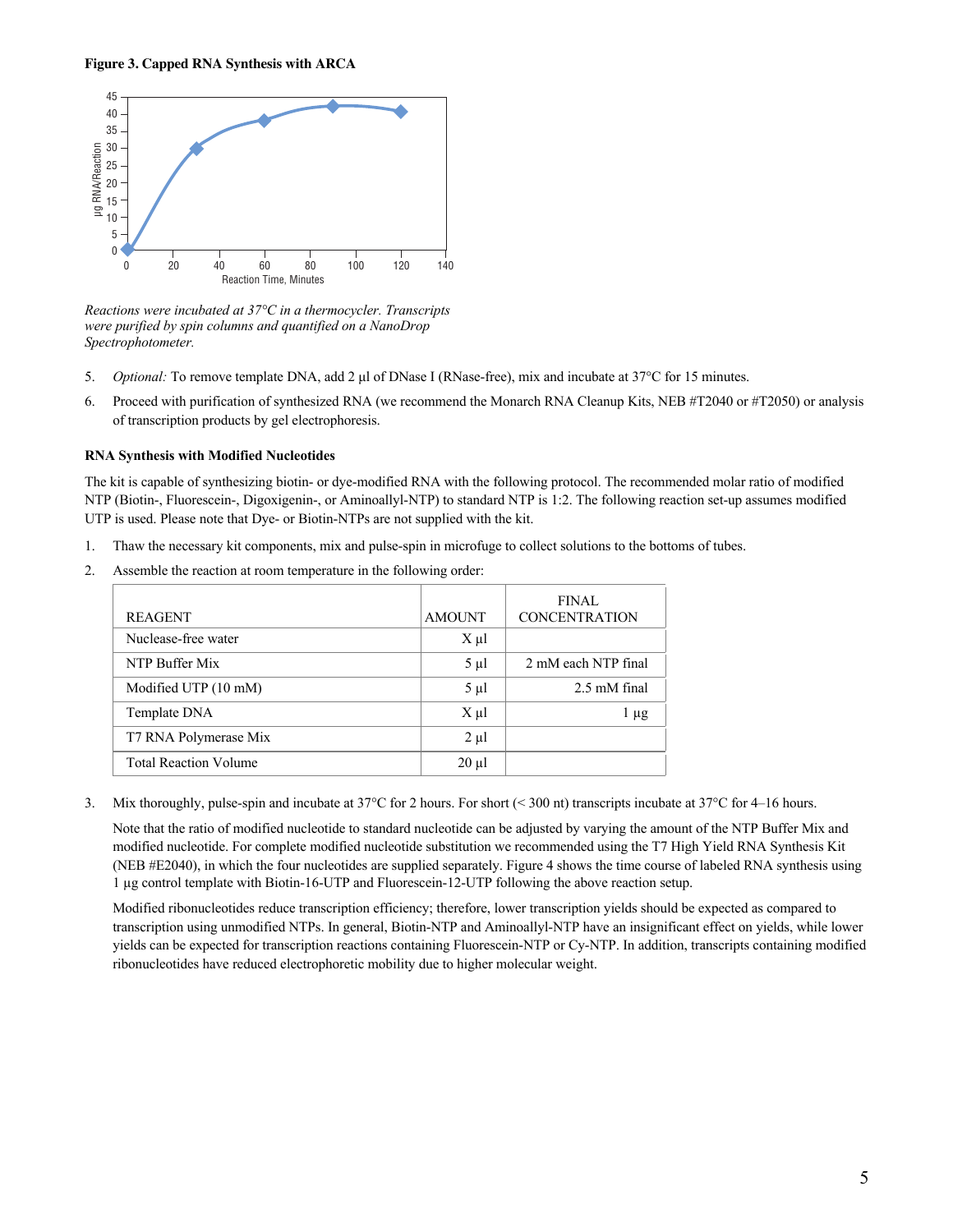

*Reactions were incubated at 37°C in a thermocycler. Transcripts were purified by spin columns and quantified on a NanoDrop Spectrophotometer.*

- 5. *Optional:* To remove template DNA, add 2 μl of DNase I (RNase-free), mix and incubate at 37°C for 15 minutes.
- 6. Proceed with purification of synthesized RNA (we recommend the Monarch RNA Cleanup Kits, NEB #T2040 or #T2050) or analysis of transcription products by gel electrophoresis.

#### **RNA Synthesis with Modified Nucleotides**

The kit is capable of synthesizing biotin- or dye-modified RNA with the following protocol. The recommended molar ratio of modified NTP (Biotin-, Fluorescein-, Digoxigenin-, or Aminoallyl-NTP) to standard NTP is 1:2. The following reaction set-up assumes modified UTP is used. Please note that Dye- or Biotin-NTPs are not supplied with the kit.

- 1. Thaw the necessary kit components, mix and pulse-spin in microfuge to collect solutions to the bottoms of tubes.
- 2. Assemble the reaction at room temperature in the following order:

| <b>REAGENT</b>               | <b>AMOUNT</b> | <b>FINAL</b><br><b>CONCENTRATION</b> |
|------------------------------|---------------|--------------------------------------|
| Nuclease-free water          | $X \mu l$     |                                      |
| NTP Buffer Mix               | $5 \mu l$     | 2 mM each NTP final                  |
| Modified UTP (10 mM)         | $5 \mu$ l     | 2.5 mM final                         |
| Template DNA                 | $X \mu l$     | $\mu$ g                              |
| T7 RNA Polymerase Mix        | $2 \mu l$     |                                      |
| <b>Total Reaction Volume</b> | $20 \mu l$    |                                      |

3. Mix thoroughly, pulse-spin and incubate at 37°C for 2 hours. For short (< 300 nt) transcripts incubate at 37°C for 4–16 hours.

Note that the ratio of modified nucleotide to standard nucleotide can be adjusted by varying the amount of the NTP Buffer Mix and modified nucleotide. For complete modified nucleotide substitution we recommended using the T7 High Yield RNA Synthesis Kit (NEB #E2040), in which the four nucleotides are supplied separately. Figure 4 shows the time course of labeled RNA synthesis using 1 µg control template with Biotin-16-UTP and Fluorescein-12-UTP following the above reaction setup.

Modified ribonucleotides reduce transcription efficiency; therefore, lower transcription yields should be expected as compared to transcription using unmodified NTPs. In general, Biotin-NTP and Aminoallyl-NTP have an insignificant effect on yields, while lower yields can be expected for transcription reactions containing Fluorescein-NTP or Cy-NTP. In addition, transcripts containing modified ribonucleotides have reduced electrophoretic mobility due to higher molecular weight.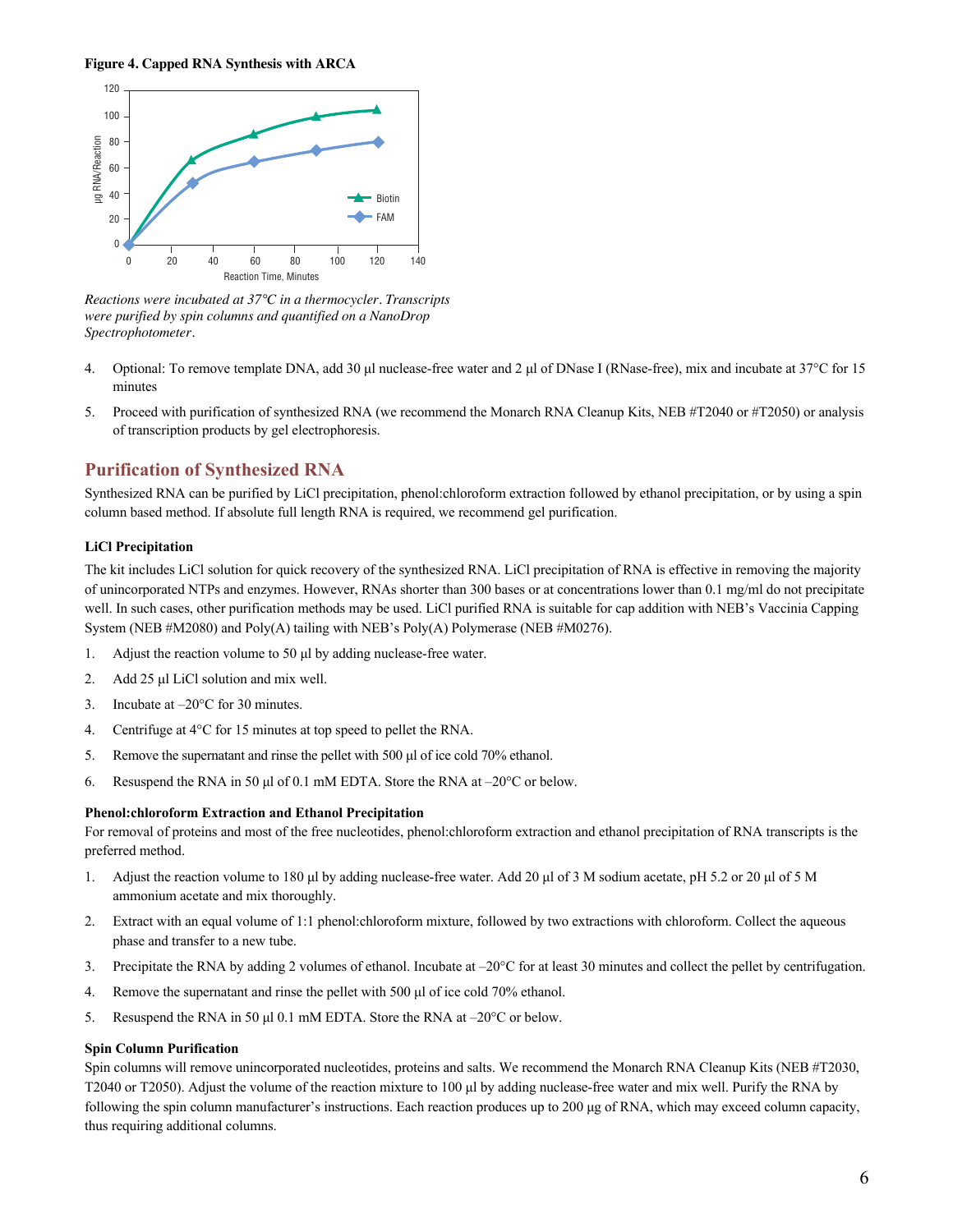**Figure 4. Capped RNA Synthesis with ARCA**



*Reactions were incubated at 37°C in a thermocycler. Transcripts were purified by spin columns and quantified on a NanoDrop Spectrophotometer.*

- 4. Optional: To remove template DNA, add 30 μl nuclease-free water and 2 μl of DNase I (RNase-free), mix and incubate at 37°C for 15 minutes
- 5. Proceed with purification of synthesized RNA (we recommend the Monarch RNA Cleanup Kits, NEB #T2040 or #T2050) or analysis of transcription products by gel electrophoresis.

## **Purification of Synthesized RNA**

Synthesized RNA can be purified by LiCl precipitation, phenol:chloroform extraction followed by ethanol precipitation, or by using a spin column based method. If absolute full length RNA is required, we recommend gel purification.

#### **LiCl Precipitation**

The kit includes LiCl solution for quick recovery of the synthesized RNA. LiCl precipitation of RNA is effective in removing the majority of unincorporated NTPs and enzymes. However, RNAs shorter than 300 bases or at concentrations lower than 0.1 mg/ml do not precipitate well. In such cases, other purification methods may be used. LiCl purified RNA is suitable for cap addition with NEB's Vaccinia Capping System (NEB #M2080) and Poly(A) tailing with NEB's Poly(A) Polymerase (NEB #M0276).

- 1. Adjust the reaction volume to 50 μl by adding nuclease-free water.
- 2. Add 25 μl LiCl solution and mix well.
- 3. Incubate at –20°C for 30 minutes.
- 4. Centrifuge at 4°C for 15 minutes at top speed to pellet the RNA.
- 5. Remove the supernatant and rinse the pellet with 500 μl of ice cold 70% ethanol.
- 6. Resuspend the RNA in 50 μl of 0.1 mM EDTA. Store the RNA at –20°C or below.

#### **Phenol:chloroform Extraction and Ethanol Precipitation**

For removal of proteins and most of the free nucleotides, phenol:chloroform extraction and ethanol precipitation of RNA transcripts is the preferred method.

- 1. Adjust the reaction volume to 180 μl by adding nuclease-free water. Add 20 μl of 3 M sodium acetate, pH 5.2 or 20 μl of 5 M ammonium acetate and mix thoroughly.
- 2. Extract with an equal volume of 1:1 phenol:chloroform mixture, followed by two extractions with chloroform. Collect the aqueous phase and transfer to a new tube.
- 3. Precipitate the RNA by adding 2 volumes of ethanol. Incubate at –20°C for at least 30 minutes and collect the pellet by centrifugation.
- 4. Remove the supernatant and rinse the pellet with 500 μl of ice cold 70% ethanol.
- 5. Resuspend the RNA in 50 μl 0.1 mM EDTA. Store the RNA at –20°C or below.

#### **Spin Column Purification**

Spin columns will remove unincorporated nucleotides, proteins and salts. We recommend the Monarch RNA Cleanup Kits (NEB #T2030, T2040 or T2050). Adjust the volume of the reaction mixture to 100 μl by adding nuclease-free water and mix well. Purify the RNA by following the spin column manufacturer's instructions. Each reaction produces up to 200 μg of RNA, which may exceed column capacity, thus requiring additional columns.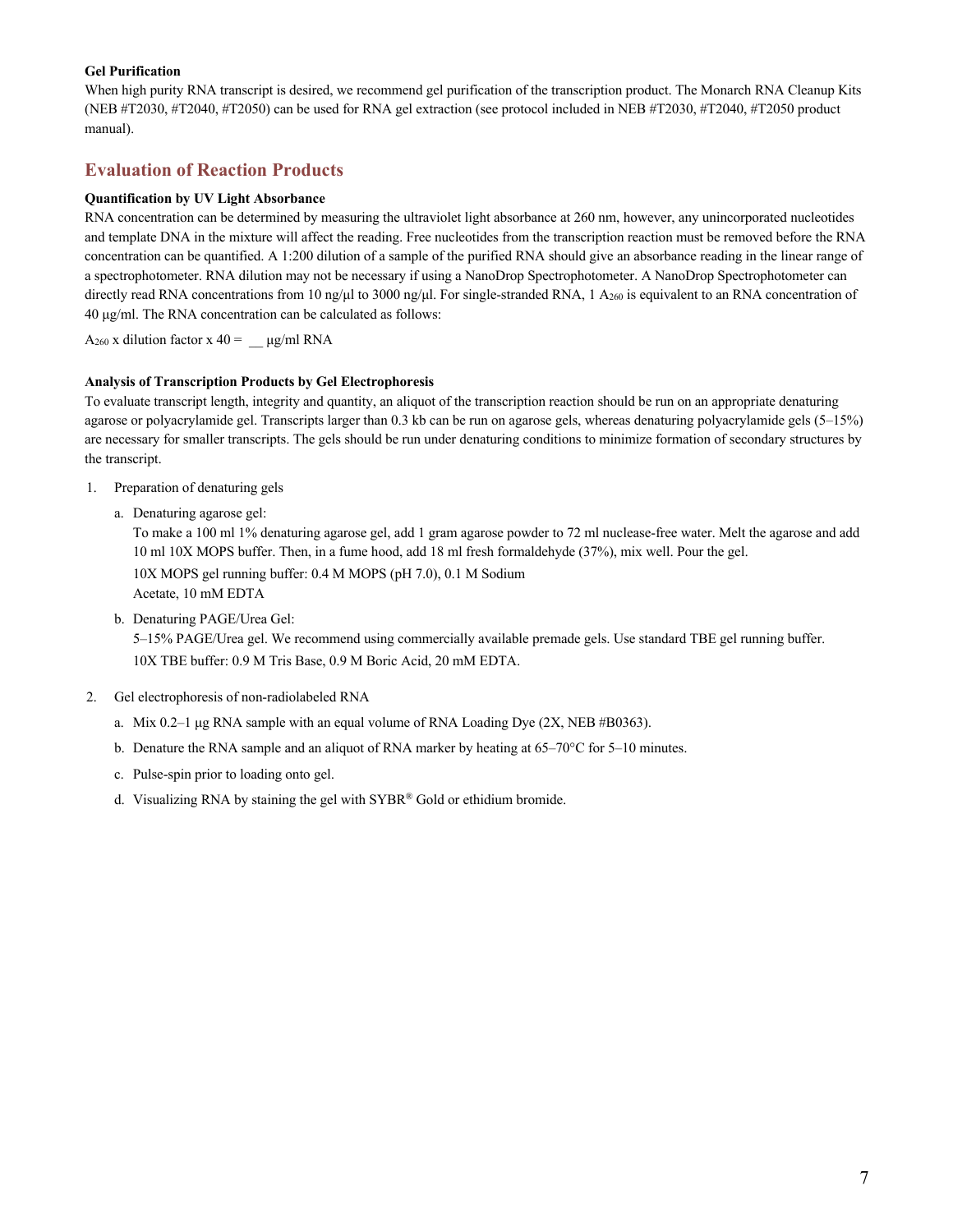#### **Gel Purification**

When high purity RNA transcript is desired, we recommend gel purification of the transcription product. The Monarch RNA Cleanup Kits (NEB #T2030, #T2040, #T2050) can be used for RNA gel extraction (see protocol included in NEB #T2030, #T2040, #T2050 product manual).

## **Evaluation of Reaction Products**

#### **Quantification by UV Light Absorbance**

RNA concentration can be determined by measuring the ultraviolet light absorbance at 260 nm, however, any unincorporated nucleotides and template DNA in the mixture will affect the reading. Free nucleotides from the transcription reaction must be removed before the RNA concentration can be quantified. A 1:200 dilution of a sample of the purified RNA should give an absorbance reading in the linear range of a spectrophotometer. RNA dilution may not be necessary if using a NanoDrop Spectrophotometer. A NanoDrop Spectrophotometer can directly read RNA concentrations from 10 ng/ $\mu$ l to 3000 ng/ $\mu$ l. For single-stranded RNA, 1 A<sub>260</sub> is equivalent to an RNA concentration of 40 μg/ml. The RNA concentration can be calculated as follows:

 $A_{260}$  x dilution factor x 40 =  $\mu$ g/ml RNA

#### **Analysis of Transcription Products by Gel Electrophoresis**

To evaluate transcript length, integrity and quantity, an aliquot of the transcription reaction should be run on an appropriate denaturing agarose or polyacrylamide gel. Transcripts larger than 0.3 kb can be run on agarose gels, whereas denaturing polyacrylamide gels (5–15%) are necessary for smaller transcripts. The gels should be run under denaturing conditions to minimize formation of secondary structures by the transcript.

- 1. Preparation of denaturing gels
	- a. Denaturing agarose gel:

To make a 100 ml 1% denaturing agarose gel, add 1 gram agarose powder to 72 ml nuclease-free water. Melt the agarose and add 10 ml 10X MOPS buffer. Then, in a fume hood, add 18 ml fresh formaldehyde (37%), mix well. Pour the gel. 10X MOPS gel running buffer: 0.4 M MOPS (pH 7.0), 0.1 M Sodium Acetate, 10 mM EDTA

b. Denaturing PAGE/Urea Gel:

5–15% PAGE/Urea gel. We recommend using commercially available premade gels. Use standard TBE gel running buffer. 10X TBE buffer: 0.9 M Tris Base, 0.9 M Boric Acid, 20 mM EDTA.

- 2. Gel electrophoresis of non-radiolabeled RNA
	- a. Mix 0.2–1 μg RNA sample with an equal volume of RNA Loading Dye (2X, NEB #B0363).
	- b. Denature the RNA sample and an aliquot of RNA marker by heating at  $65-70^{\circ}$ C for  $5-10$  minutes.
	- c. Pulse-spin prior to loading onto gel.
	- d. Visualizing RNA by staining the gel with SYBR® Gold or ethidium bromide.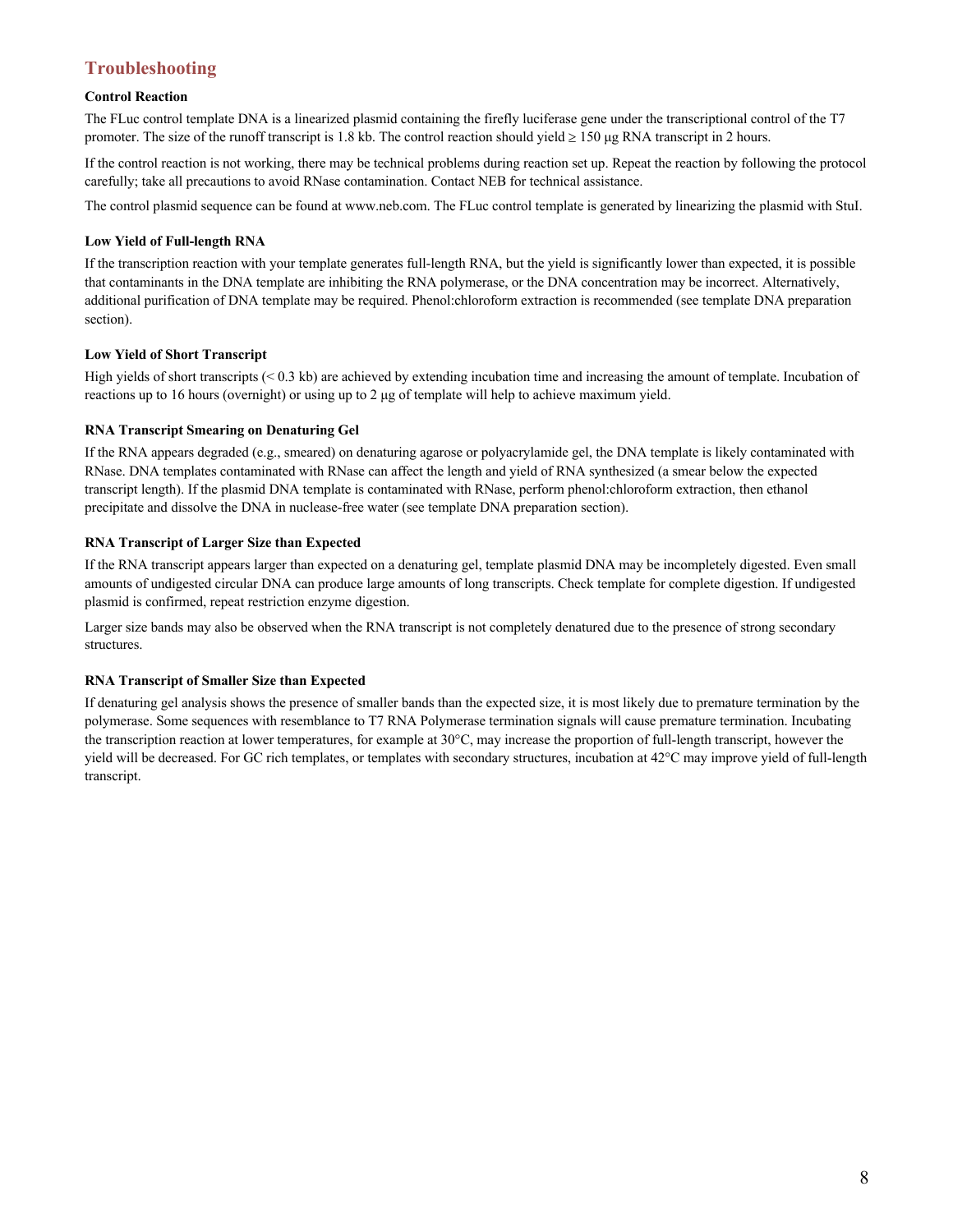## **Troubleshooting**

#### **Control Reaction**

The FLuc control template DNA is a linearized plasmid containing the firefly luciferase gene under the transcriptional control of the T7 promoter. The size of the runoff transcript is 1.8 kb. The control reaction should yield  $\geq 150 \,\mu$ g RNA transcript in 2 hours.

If the control reaction is not working, there may be technical problems during reaction set up. Repeat the reaction by following the protocol carefully; take all precautions to avoid RNase contamination. Contact NEB for technical assistance.

The control plasmid sequence can be found at www.neb.com. The FLuc control template is generated by linearizing the plasmid with StuI.

#### **Low Yield of Full-length RNA**

If the transcription reaction with your template generates full-length RNA, but the yield is significantly lower than expected, it is possible that contaminants in the DNA template are inhibiting the RNA polymerase, or the DNA concentration may be incorrect. Alternatively, additional purification of DNA template may be required. Phenol:chloroform extraction is recommended (see template DNA preparation section).

#### **Low Yield of Short Transcript**

High yields of short transcripts (< 0.3 kb) are achieved by extending incubation time and increasing the amount of template. Incubation of reactions up to 16 hours (overnight) or using up to 2 μg of template will help to achieve maximum yield.

#### **RNA Transcript Smearing on Denaturing Gel**

If the RNA appears degraded (e.g., smeared) on denaturing agarose or polyacrylamide gel, the DNA template is likely contaminated with RNase. DNA templates contaminated with RNase can affect the length and yield of RNA synthesized (a smear below the expected transcript length). If the plasmid DNA template is contaminated with RNase, perform phenol:chloroform extraction, then ethanol precipitate and dissolve the DNA in nuclease-free water (see template DNA preparation section).

#### **RNA Transcript of Larger Size than Expected**

If the RNA transcript appears larger than expected on a denaturing gel, template plasmid DNA may be incompletely digested. Even small amounts of undigested circular DNA can produce large amounts of long transcripts. Check template for complete digestion. If undigested plasmid is confirmed, repeat restriction enzyme digestion.

Larger size bands may also be observed when the RNA transcript is not completely denatured due to the presence of strong secondary structures.

#### **RNA Transcript of Smaller Size than Expected**

If denaturing gel analysis shows the presence of smaller bands than the expected size, it is most likely due to premature termination by the polymerase. Some sequences with resemblance to T7 RNA Polymerase termination signals will cause premature termination. Incubating the transcription reaction at lower temperatures, for example at 30°C, may increase the proportion of full-length transcript, however the yield will be decreased. For GC rich templates, or templates with secondary structures, incubation at 42°C may improve yield of full-length transcript.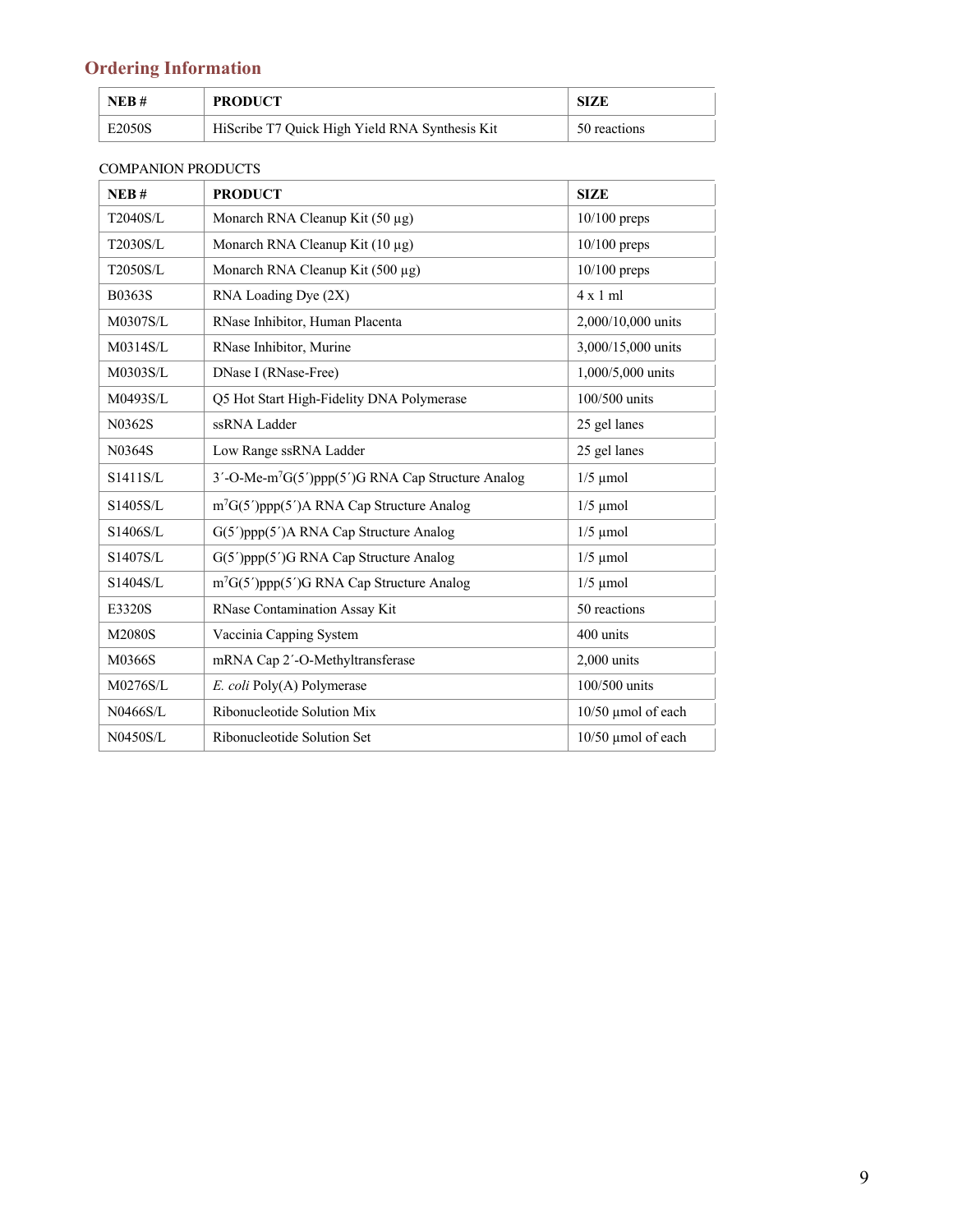# **Ordering Information**

| NEB#   | <b>PRODUCT</b>                                 | <b>SIZE</b>  |
|--------|------------------------------------------------|--------------|
| E2050S | HiScribe T7 Quick High Yield RNA Synthesis Kit | 50 reactions |

## COMPANION PRODUCTS

| NEB#          | <b>PRODUCT</b>                                                | <b>SIZE</b>          |
|---------------|---------------------------------------------------------------|----------------------|
| T2040S/L      | Monarch RNA Cleanup Kit $(50 \mu g)$                          | $10/100$ preps       |
| T2030S/L      | Monarch RNA Cleanup Kit (10 μg)                               | $10/100$ preps       |
| T2050S/L      | Monarch RNA Cleanup Kit (500 μg)                              | $10/100$ preps       |
| <b>B0363S</b> | RNA Loading Dye (2X)                                          | 4x1ml                |
| M0307S/L      | RNase Inhibitor, Human Placenta                               | 2,000/10,000 units   |
| M0314S/L      | RNase Inhibitor, Murine                                       | 3,000/15,000 units   |
| M0303S/L      | DNase I (RNase-Free)                                          | 1,000/5,000 units    |
| M0493S/L      | Q5 Hot Start High-Fidelity DNA Polymerase                     | 100/500 units        |
| N0362S        | ssRNA Ladder                                                  | 25 gel lanes         |
| N0364S        | Low Range ssRNA Ladder                                        | 25 gel lanes         |
| S1411S/L      | 3'-O-Me-m <sup>7</sup> G(5')ppp(5')G RNA Cap Structure Analog | $1/5$ µmol           |
| S1405S/L      | $m7G(5')ppp(5')A RNA Cap Structure Analog$                    | $1/5$ µmol           |
| S1406S/L      | G(5')ppp(5')A RNA Cap Structure Analog                        | $1/5$ µmol           |
| S1407S/L      | G(5')ppp(5')G RNA Cap Structure Analog                        | $1/5$ µmol           |
| S1404S/L      | $m7G(5')ppp(5')G RNA Cap Structure Analog$                    | $1/5$ µmol           |
| E3320S        | RNase Contamination Assay Kit                                 | 50 reactions         |
| M2080S        | Vaccinia Capping System                                       | 400 units            |
| M0366S        | mRNA Cap 2'-O-Methyltransferase                               | $2,000$ units        |
| M0276S/L      | E. coli Poly(A) Polymerase                                    | 100/500 units        |
| N0466S/L      | Ribonucleotide Solution Mix                                   | $10/50$ µmol of each |
| N0450S/L      | Ribonucleotide Solution Set                                   | $10/50$ µmol of each |